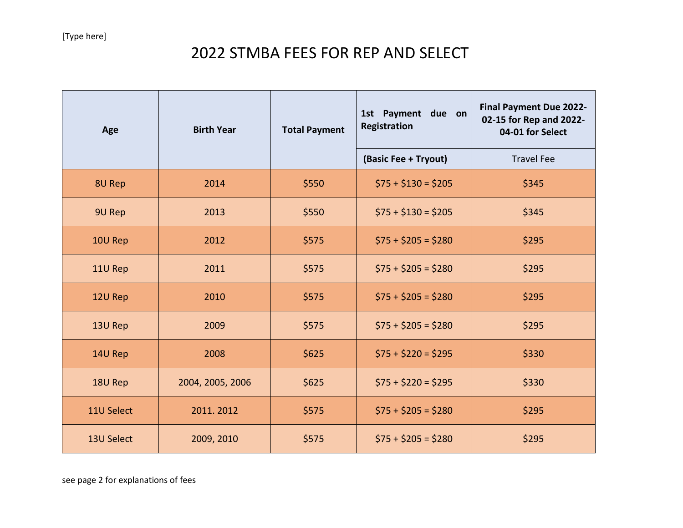## 2022 STMBA FEES FOR REP AND SELECT

| Age        | <b>Birth Year</b> | <b>Total Payment</b> | 1st Payment<br>due on<br><b>Registration</b> | <b>Final Payment Due 2022-</b><br>02-15 for Rep and 2022-<br>04-01 for Select |
|------------|-------------------|----------------------|----------------------------------------------|-------------------------------------------------------------------------------|
|            |                   |                      | (Basic Fee + Tryout)                         | <b>Travel Fee</b>                                                             |
| 8U Rep     | 2014              | \$550                | $$75 + $130 = $205$                          | \$345                                                                         |
| 9U Rep     | 2013              | \$550                | $$75 + $130 = $205$                          | \$345                                                                         |
| 10U Rep    | 2012              | \$575                | $$75 + $205 = $280$                          | \$295                                                                         |
| 11U Rep    | 2011              | \$575                | $$75 + $205 = $280$                          | \$295                                                                         |
| 12U Rep    | 2010              | \$575                | $$75 + $205 = $280$                          | \$295                                                                         |
| 13U Rep    | 2009              | \$575                | $$75 + $205 = $280$                          | \$295                                                                         |
| 14U Rep    | 2008              | \$625                | $$75 + $220 = $295$                          | \$330                                                                         |
| 18U Rep    | 2004, 2005, 2006  | \$625                | $$75 + $220 = $295$                          | \$330                                                                         |
| 11U Select | 2011.2012         | \$575                | $$75 + $205 = $280$                          | \$295                                                                         |
| 13U Select | 2009, 2010        | \$575                | $$75 + $205 = $280$                          | \$295                                                                         |

see page 2 for explanations of fees